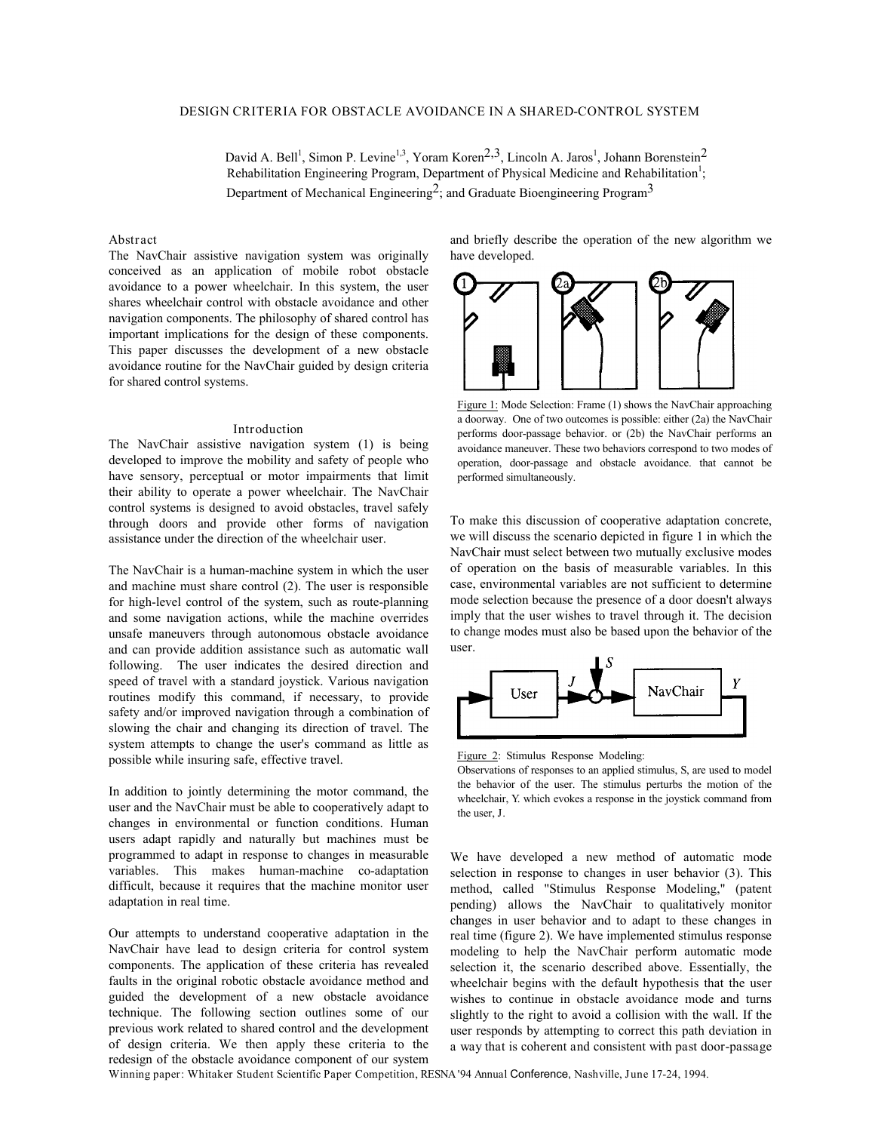David A. Bell<sup>1</sup>, Simon P. Levine<sup>1,3</sup>, Yoram Koren<sup>2,3</sup>, Lincoln A. Jaros<sup>1</sup>, Johann Borenstein<sup>2</sup> Rehabilitation Engineering Program, Department of Physical Medicine and Rehabilitation<sup>1</sup>; Department of Mechanical Engineering<sup>2</sup>; and Graduate Bioengineering Program<sup>3</sup>

#### **Abstract**

The NavChair assistive navigation system was originally conceived as an application of mobile robot obstacle avoidance to a power wheelchair. In this system, the user shares wheelchair control with obstacle avoidance and other navigation components. The philosophy of shared control has important implications for the design of these components. This paper discusses the development of a new obstacle avoidance routine for the NavChair guided by design criteria for shared control systems.

### **Introduction**

The NavChair assistive navigation system (1) is being developed to improve the mobility and safety of people who have sensory, perceptual or motor impairments that limit their ability to operate a power wheelchair. The NavChair control systems is designed to avoid obstacles, travel safely through doors and provide other forms of navigation assistance under the direction of the wheelchair user.

The NavChair is a human-machine system in which the user and machine must share control (2). The user is responsible for high-level control of the system, such as route-planning and some navigation actions, while the machine overrides unsafe maneuvers through autonomous obstacle avoidance and can provide addition assistance such as automatic wall following. The user indicates the desired direction and speed of travel with a standard joystick. Various navigation routines modify this command, if necessary, to provide safety and/or improved navigation through a combination of slowing the chair and changing its direction of travel. The system attempts to change the user's command as little as possible while insuring safe, effective travel.

In addition to jointly determining the motor command, the user and the NavChair must be able to cooperatively adapt to changes in environmental or function conditions. Human users adapt rapidly and naturally but machines must be programmed to adapt in response to changes in measurable variables. This makes human-machine co-adaptation difficult, because it requires that the machine monitor user adaptation in real time.

Our attempts to understand cooperative adaptation in the NavChair have lead to design criteria for control system components. The application of these criteria has revealed faults in the original robotic obstacle avoidance method and guided the development of a new obstacle avoidance technique. The following section outlines some of our previous work related to shared control and the development of design criteria. We then apply these criteria to the redesign of the obstacle avoidance component of our system

and briefly describe the operation of the new algorithm we have developed.



Figure 1: Mode Selection: Frame (1) shows the NavChair approaching a doorway. One of two outcomes is possible: either (2a) the NavChair performs door-passage behavior. or (2b) the NavChair performs an avoidance maneuver. These two behaviors correspond to two modes of operation, door-passage and obstacle avoidance. that cannot be performed simultaneously.

To make this discussion of cooperative adaptation concrete, we will discuss the scenario depicted in figure 1 in which the NavChair must select between two mutually exclusive modes of operation on the basis of measurable variables. In this case, environmental variables are not sufficient to determine mode selection because the presence of a door doesn't always imply that the user wishes to travel through it. The decision to change modes must also be based upon the behavior of the user.



Figure 2: Stimulus Response Modeling:

Observations of responses to an applied stimulus, *S*, are used to model the behavior of the user. The stimulus perturbs the motion of the wheelchair, *Y*. which evokes a response in the joystick command from the user, *J*.

We have developed a new method of automatic mode selection in response to changes in user behavior (3). This method, called "Stimulus Response Modeling," (patent pending) allows the NavChair to qualitatively monitor changes in user behavior and to adapt to these changes in real time (figure 2). We have implemented stimulus response modeling to help the NavChair perform automatic mode selection it, the scenario described above. Essentially, the wheelchair begins with the default hypothesis that the user wishes to continue in obstacle avoidance mode and turns slightly to the right to avoid a collision with the wall. If the user responds by attempting to correct this path deviation *in a way that is coherent and consistent with past door-passage*

**Winning paper: Whitaker Student Scientific Paper Competition,** *RESNA '94 Annual Conference,* **Nashville, June 17-24, 1994.**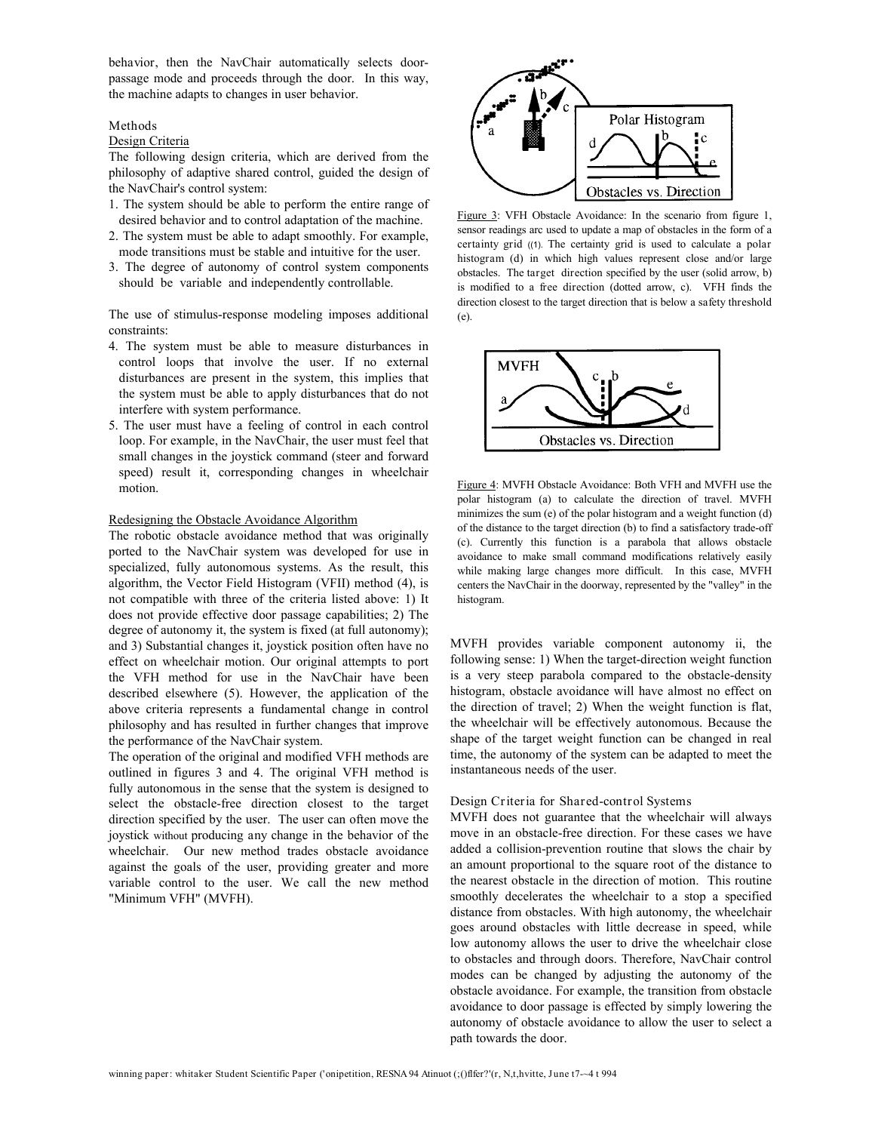*behavior,* then the NavChair automatically selects doorpassage mode and proceeds through the door. In this way, the machine adapts to changes in user behavior.

#### **Methods**

#### Design Criteria

The following design criteria, which are derived from the philosophy of adaptive shared control, guided the design of the NavChair's control system:

- 1.The system should be able to perform the entire range of desired behavior and to control adaptation of the machine.
- 2.The system must be able to adapt smoothly. For example, mode transitions must be stable and intuitive for the user.
- 3.The degree of autonomy of control system components should be variable and independently controllable.

The use of stimulus-response modeling imposes additional constraints:

- 4. The system must be able to measure disturbances in control loops that involve the user. If no external disturbances are present in the system, this implies that the system must be able to apply disturbances that do not interfere with system performance.
- 5. The user must have a feeling of control in each control loop. For example, in the NavChair, the user must feel that small changes in the joystick command (steer and forward speed) result it, corresponding changes in wheelchair motion.

#### Redesigning the Obstacle Avoidance Algorithm

The robotic obstacle avoidance method that was originally ported to the NavChair system was developed for use in specialized, fully autonomous systems. As the result, this algorithm, the Vector Field Histogram (VFII) method (4), is not compatible with three of the criteria listed above: 1) It does not provide effective door passage capabilities; 2) The degree of autonomy it, the system is fixed (at full autonomy); and 3) Substantial changes it, joystick position often have no effect on wheelchair motion. Our original attempts to port the VFH method for use in the NavChair have been described elsewhere (5). However, the application of the above criteria represents a fundamental change in control philosophy and has resulted in further changes that improve the performance of the NavChair system.

The operation of the original and modified VFH methods are outlined in figures 3 and 4. The original VFH method is fully autonomous in the sense that the system is designed to select the obstacle-free direction closest to the target direction specified by the user. The user can often move the joystick without producing *any* change in the behavior of the wheelchair. Our new method trades obstacle avoidance against the goals of the user, providing greater and more variable control to the user. We call the new method "Minimum VFH" (MVFH).



Figure 3: VFH Obstacle Avoidance: In the scenario from figure 1, sensor readings arc used to update a map of obstacles in the form of a *certainty grid ((1).* The certainty grid is used to calculate a *polar histogram (d)* in which high values represent close and/or large obstacles. The *target direction* specified by the user (solid arrow, b) is modified to a *free direction* (dotted arrow, c). VFH finds the direction closest to the target direction that is below a *safety threshold (e).*



Figure 4: MVFH Obstacle Avoidance: Both VFH and MVFH use the polar histogram (a) to calculate the direction of travel. MVFH minimizes the sum (e) of the polar histogram and a weight function (d) of the distance to the target direction (b) to find a satisfactory trade-off (c). Currently this function is a parabola that allows obstacle avoidance to make small command modifications relatively easily while making large changes more difficult. In this case, MVFH centers the NavChair in the doorway, represented by the "valley" in the histogram.

MVFH provides variable component autonomy ii, the following sense: 1) When the target-direction weight function is a very steep parabola compared to the obstacle-density histogram, obstacle avoidance will have almost no effect on the direction of travel; 2) When the weight function is flat, the wheelchair will be effectively autonomous. Because the shape of the target weight function can be changed in real time, the autonomy of the system can be adapted to meet the instantaneous needs of the user.

# **Design Criteria for Shared-control Systems**

MVFH does not guarantee that the wheelchair will always move in an obstacle-free direction. For these cases we have added a collision-prevention routine that slows the chair by an amount proportional to the square root of the distance to the nearest obstacle in the direction of motion. This routine smoothly decelerates the wheelchair to a stop a specified distance from obstacles. With high autonomy, the wheelchair goes around obstacles with little decrease in speed, while low autonomy allows the user to drive the wheelchair close to obstacles and through doors. Therefore, NavChair control modes can be changed by adjusting the autonomy of the obstacle avoidance. For example, the transition from obstacle avoidance to door passage is effected by simply lowering the autonomy of obstacle avoidance to allow the user to select a path towards the door.